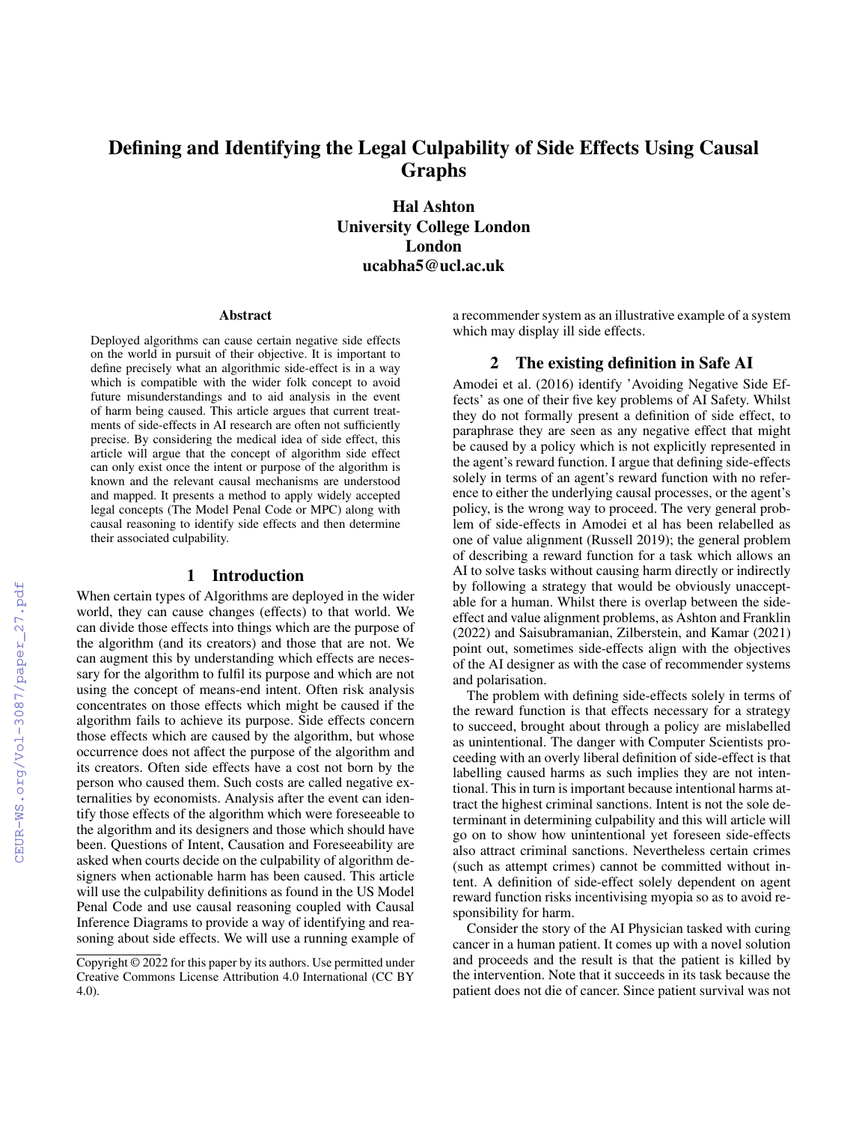# Defining and Identifying the Legal Culpability of Side Effects Using Causal Graphs

Hal Ashton University College London London ucabha5@ucl.ac.uk

#### Abstract

Deployed algorithms can cause certain negative side effects on the world in pursuit of their objective. It is important to define precisely what an algorithmic side-effect is in a way which is compatible with the wider folk concept to avoid future misunderstandings and to aid analysis in the event of harm being caused. This article argues that current treatments of side-effects in AI research are often not sufficiently precise. By considering the medical idea of side effect, this article will argue that the concept of algorithm side effect can only exist once the intent or purpose of the algorithm is known and the relevant causal mechanisms are understood and mapped. It presents a method to apply widely accepted legal concepts (The Model Penal Code or MPC) along with causal reasoning to identify side effects and then determine their associated culpability.

### 1 Introduction

When certain types of Algorithms are deployed in the wider world, they can cause changes (effects) to that world. We can divide those effects into things which are the purpose of the algorithm (and its creators) and those that are not. We can augment this by understanding which effects are necessary for the algorithm to fulfil its purpose and which are not using the concept of means-end intent. Often risk analysis concentrates on those effects which might be caused if the algorithm fails to achieve its purpose. Side effects concern those effects which are caused by the algorithm, but whose occurrence does not affect the purpose of the algorithm and its creators. Often side effects have a cost not born by the person who caused them. Such costs are called negative externalities by economists. Analysis after the event can identify those effects of the algorithm which were foreseeable to the algorithm and its designers and those which should have been. Questions of Intent, Causation and Foreseeability are asked when courts decide on the culpability of algorithm designers when actionable harm has been caused. This article will use the culpability definitions as found in the US Model Penal Code and use causal reasoning coupled with Causal Inference Diagrams to provide a way of identifying and reasoning about side effects. We will use a running example of

a recommender system as an illustrative example of a system which may display ill side effects.

### 2 The existing definition in Safe AI

Amodei et al. (2016) identify 'Avoiding Negative Side Effects' as one of their five key problems of AI Safety. Whilst they do not formally present a definition of side effect, to paraphrase they are seen as any negative effect that might be caused by a policy which is not explicitly represented in the agent's reward function. I argue that defining side-effects solely in terms of an agent's reward function with no reference to either the underlying causal processes, or the agent's policy, is the wrong way to proceed. The very general problem of side-effects in Amodei et al has been relabelled as one of value alignment (Russell 2019); the general problem of describing a reward function for a task which allows an AI to solve tasks without causing harm directly or indirectly by following a strategy that would be obviously unacceptable for a human. Whilst there is overlap between the sideeffect and value alignment problems, as Ashton and Franklin (2022) and Saisubramanian, Zilberstein, and Kamar (2021) point out, sometimes side-effects align with the objectives of the AI designer as with the case of recommender systems and polarisation.

The problem with defining side-effects solely in terms of the reward function is that effects necessary for a strategy to succeed, brought about through a policy are mislabelled as unintentional. The danger with Computer Scientists proceeding with an overly liberal definition of side-effect is that labelling caused harms as such implies they are not intentional. This in turn is important because intentional harms attract the highest criminal sanctions. Intent is not the sole determinant in determining culpability and this will article will go on to show how unintentional yet foreseen side-effects also attract criminal sanctions. Nevertheless certain crimes (such as attempt crimes) cannot be committed without intent. A definition of side-effect solely dependent on agent reward function risks incentivising myopia so as to avoid responsibility for harm.

Consider the story of the AI Physician tasked with curing cancer in a human patient. It comes up with a novel solution and proceeds and the result is that the patient is killed by the intervention. Note that it succeeds in its task because the patient does not die of cancer. Since patient survival was not

Copyright © 2022 for this paper by its authors. Use permitted under Creative Commons License Attribution 4.0 International (CC BY 4.0).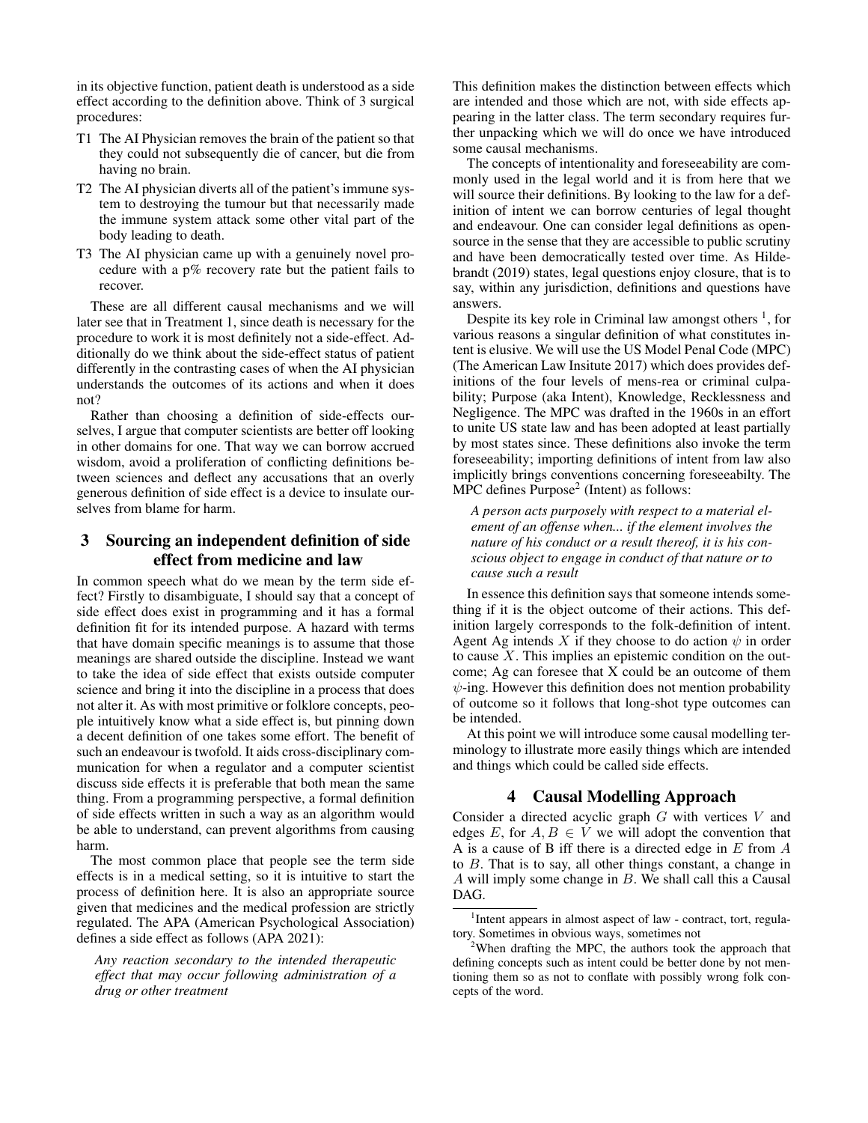in its objective function, patient death is understood as a side effect according to the definition above. Think of 3 surgical procedures:

- T1 The AI Physician removes the brain of the patient so that they could not subsequently die of cancer, but die from having no brain.
- T2 The AI physician diverts all of the patient's immune system to destroying the tumour but that necessarily made the immune system attack some other vital part of the body leading to death.
- T3 The AI physician came up with a genuinely novel procedure with a p% recovery rate but the patient fails to recover.

These are all different causal mechanisms and we will later see that in Treatment 1, since death is necessary for the procedure to work it is most definitely not a side-effect. Additionally do we think about the side-effect status of patient differently in the contrasting cases of when the AI physician understands the outcomes of its actions and when it does not?

Rather than choosing a definition of side-effects ourselves, I argue that computer scientists are better off looking in other domains for one. That way we can borrow accrued wisdom, avoid a proliferation of conflicting definitions between sciences and deflect any accusations that an overly generous definition of side effect is a device to insulate ourselves from blame for harm.

## 3 Sourcing an independent definition of side effect from medicine and law

In common speech what do we mean by the term side effect? Firstly to disambiguate, I should say that a concept of side effect does exist in programming and it has a formal definition fit for its intended purpose. A hazard with terms that have domain specific meanings is to assume that those meanings are shared outside the discipline. Instead we want to take the idea of side effect that exists outside computer science and bring it into the discipline in a process that does not alter it. As with most primitive or folklore concepts, people intuitively know what a side effect is, but pinning down a decent definition of one takes some effort. The benefit of such an endeavour is twofold. It aids cross-disciplinary communication for when a regulator and a computer scientist discuss side effects it is preferable that both mean the same thing. From a programming perspective, a formal definition of side effects written in such a way as an algorithm would be able to understand, can prevent algorithms from causing harm.

The most common place that people see the term side effects is in a medical setting, so it is intuitive to start the process of definition here. It is also an appropriate source given that medicines and the medical profession are strictly regulated. The APA (American Psychological Association) defines a side effect as follows (APA 2021):

*Any reaction secondary to the intended therapeutic effect that may occur following administration of a drug or other treatment*

This definition makes the distinction between effects which are intended and those which are not, with side effects appearing in the latter class. The term secondary requires further unpacking which we will do once we have introduced some causal mechanisms.

The concepts of intentionality and foreseeability are commonly used in the legal world and it is from here that we will source their definitions. By looking to the law for a definition of intent we can borrow centuries of legal thought and endeavour. One can consider legal definitions as opensource in the sense that they are accessible to public scrutiny and have been democratically tested over time. As Hildebrandt (2019) states, legal questions enjoy closure, that is to say, within any jurisdiction, definitions and questions have answers.

Despite its key role in Criminal law amongst others <sup>1</sup>, for various reasons a singular definition of what constitutes intent is elusive. We will use the US Model Penal Code (MPC) (The American Law Insitute 2017) which does provides definitions of the four levels of mens-rea or criminal culpability; Purpose (aka Intent), Knowledge, Recklessness and Negligence. The MPC was drafted in the 1960s in an effort to unite US state law and has been adopted at least partially by most states since. These definitions also invoke the term foreseeability; importing definitions of intent from law also implicitly brings conventions concerning foreseeabilty. The MPC defines Purpose<sup>2</sup> (Intent) as follows:

*A person acts purposely with respect to a material element of an offense when... if the element involves the nature of his conduct or a result thereof, it is his conscious object to engage in conduct of that nature or to cause such a result*

In essence this definition says that someone intends something if it is the object outcome of their actions. This definition largely corresponds to the folk-definition of intent. Agent Ag intends X if they choose to do action  $\psi$  in order to cause  $X$ . This implies an epistemic condition on the outcome; Ag can foresee that X could be an outcome of them  $\psi$ -ing. However this definition does not mention probability of outcome so it follows that long-shot type outcomes can be intended.

At this point we will introduce some causal modelling terminology to illustrate more easily things which are intended and things which could be called side effects.

### 4 Causal Modelling Approach

Consider a directed acyclic graph  $G$  with vertices  $V$  and edges E, for  $A, B \in V$  we will adopt the convention that A is a cause of B iff there is a directed edge in  $E$  from  $A$ to B. That is to say, all other things constant, a change in  $A$  will imply some change in  $B$ . We shall call this a Causal DAG.

<sup>&</sup>lt;sup>1</sup>Intent appears in almost aspect of law - contract, tort, regulatory. Sometimes in obvious ways, sometimes not

<sup>&</sup>lt;sup>2</sup>When drafting the MPC, the authors took the approach that defining concepts such as intent could be better done by not mentioning them so as not to conflate with possibly wrong folk concepts of the word.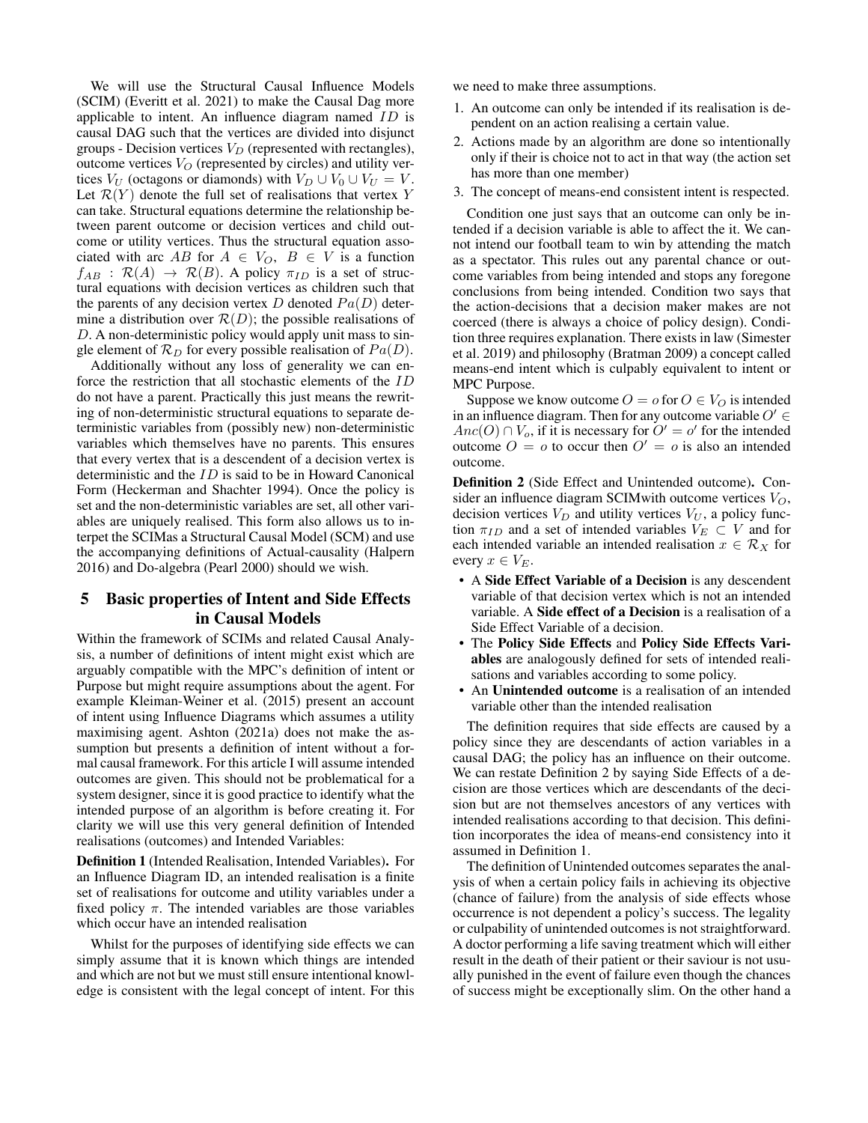We will use the Structural Causal Influence Models (SCIM) (Everitt et al. 2021) to make the Causal Dag more applicable to intent. An influence diagram named ID is causal DAG such that the vertices are divided into disjunct groups - Decision vertices  $V_D$  (represented with rectangles), outcome vertices  $V_O$  (represented by circles) and utility vertices  $V_U$  (octagons or diamonds) with  $V_D \cup V_0 \cup V_U = V$ . Let  $\mathcal{R}(Y)$  denote the full set of realisations that vertex Y can take. Structural equations determine the relationship between parent outcome or decision vertices and child outcome or utility vertices. Thus the structural equation associated with arc AB for  $A \in V_O$ ,  $B \in V$  is a function  $f_{AB}$ :  $\mathcal{R}(A) \rightarrow \mathcal{R}(B)$ . A policy  $\pi_{ID}$  is a set of structural equations with decision vertices as children such that the parents of any decision vertex  $D$  denoted  $Pa(D)$  determine a distribution over  $\mathcal{R}(D)$ ; the possible realisations of D. A non-deterministic policy would apply unit mass to single element of  $\mathcal{R}_D$  for every possible realisation of  $Pa(D)$ .

Additionally without any loss of generality we can enforce the restriction that all stochastic elements of the ID do not have a parent. Practically this just means the rewriting of non-deterministic structural equations to separate deterministic variables from (possibly new) non-deterministic variables which themselves have no parents. This ensures that every vertex that is a descendent of a decision vertex is deterministic and the ID is said to be in Howard Canonical Form (Heckerman and Shachter 1994). Once the policy is set and the non-deterministic variables are set, all other variables are uniquely realised. This form also allows us to interpet the SCIMas a Structural Causal Model (SCM) and use the accompanying definitions of Actual-causality (Halpern 2016) and Do-algebra (Pearl 2000) should we wish.

## 5 Basic properties of Intent and Side Effects in Causal Models

Within the framework of SCIMs and related Causal Analysis, a number of definitions of intent might exist which are arguably compatible with the MPC's definition of intent or Purpose but might require assumptions about the agent. For example Kleiman-Weiner et al. (2015) present an account of intent using Influence Diagrams which assumes a utility maximising agent. Ashton (2021a) does not make the assumption but presents a definition of intent without a formal causal framework. For this article I will assume intended outcomes are given. This should not be problematical for a system designer, since it is good practice to identify what the intended purpose of an algorithm is before creating it. For clarity we will use this very general definition of Intended realisations (outcomes) and Intended Variables:

Definition 1 (Intended Realisation, Intended Variables). For an Influence Diagram ID, an intended realisation is a finite set of realisations for outcome and utility variables under a fixed policy  $\pi$ . The intended variables are those variables which occur have an intended realisation

Whilst for the purposes of identifying side effects we can simply assume that it is known which things are intended and which are not but we must still ensure intentional knowledge is consistent with the legal concept of intent. For this

we need to make three assumptions.

- 1. An outcome can only be intended if its realisation is dependent on an action realising a certain value.
- 2. Actions made by an algorithm are done so intentionally only if their is choice not to act in that way (the action set has more than one member)
- 3. The concept of means-end consistent intent is respected.

Condition one just says that an outcome can only be intended if a decision variable is able to affect the it. We cannot intend our football team to win by attending the match as a spectator. This rules out any parental chance or outcome variables from being intended and stops any foregone conclusions from being intended. Condition two says that the action-decisions that a decision maker makes are not coerced (there is always a choice of policy design). Condition three requires explanation. There exists in law (Simester et al. 2019) and philosophy (Bratman 2009) a concept called means-end intent which is culpably equivalent to intent or MPC Purpose.

Suppose we know outcome  $O = o$  for  $O \in V_O$  is intended in an influence diagram. Then for any outcome variable  $O' \in$  $Anc(O) \cap V_o$ , if it is necessary for  $O' = o'$  for the intended outcome  $\hat{O} = o$  to occur then  $O' = o$  is also an intended outcome.

Definition 2 (Side Effect and Unintended outcome). Consider an influence diagram SCIMwith outcome vertices  $V_O$ , decision vertices  $V_D$  and utility vertices  $V_U$ , a policy function  $\pi_{ID}$  and a set of intended variables  $V_E \subset V$  and for each intended variable an intended realisation  $x \in \mathcal{R}_X$  for every  $x \in V_E$ .

- A Side Effect Variable of a Decision is any descendent variable of that decision vertex which is not an intended variable. A Side effect of a Decision is a realisation of a Side Effect Variable of a decision.
- The Policy Side Effects and Policy Side Effects Variables are analogously defined for sets of intended realisations and variables according to some policy.
- An Unintended outcome is a realisation of an intended variable other than the intended realisation

The definition requires that side effects are caused by a policy since they are descendants of action variables in a causal DAG; the policy has an influence on their outcome. We can restate Definition 2 by saying Side Effects of a decision are those vertices which are descendants of the decision but are not themselves ancestors of any vertices with intended realisations according to that decision. This definition incorporates the idea of means-end consistency into it assumed in Definition 1.

The definition of Unintended outcomes separates the analysis of when a certain policy fails in achieving its objective (chance of failure) from the analysis of side effects whose occurrence is not dependent a policy's success. The legality or culpability of unintended outcomes is not straightforward. A doctor performing a life saving treatment which will either result in the death of their patient or their saviour is not usually punished in the event of failure even though the chances of success might be exceptionally slim. On the other hand a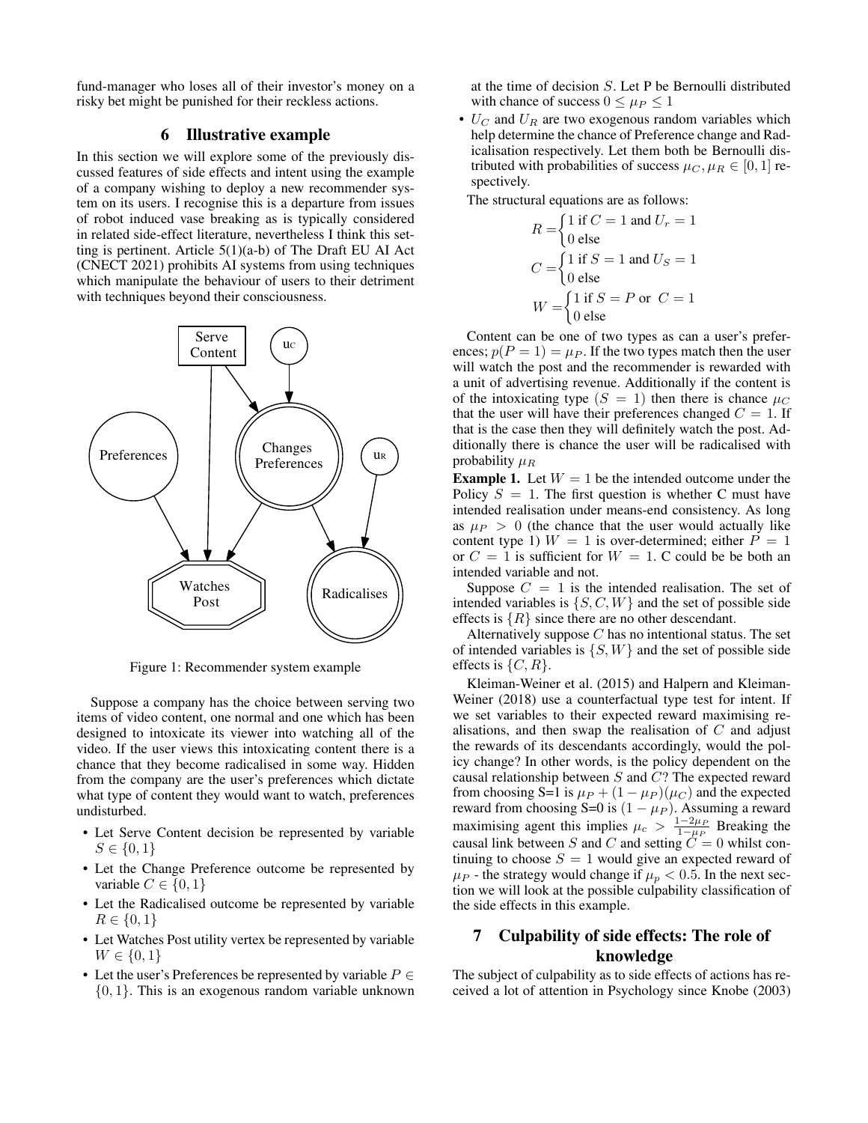fund-manager who loses all of their investor's money on a risky bet might be punished for their reckless actions.

### 6 Illustrative example

In this section we will explore some of the previously discussed features of side effects and intent using the example of a company wishing to deploy a new recommender system on its users. I recognise this is a departure from issues of robot induced vase breaking as is typically considered in related side-effect literature, nevertheless I think this setting is pertinent. Article  $5(1)(a-b)$  of The Draft EU AI Act (CNECT 2021) prohibits AI systems from using techniques which manipulate the behaviour of users to their detriment with techniques beyond their consciousness.



Figure 1: Recommender system example

Suppose a company has the choice between serving two items of video content, one normal and one which has been designed to intoxicate its viewer into watching all of the video. If the user views this intoxicating content there is a chance that they become radicalised in some way. Hidden from the company are the user's preferences which dictate what type of content they would want to watch, preferences undisturbed.

- Let Serve Content decision be represented by variable  $S \in \{0, 1\}$
- Let the Change Preference outcome be represented by variable  $C \in \{0, 1\}$
- Let the Radicalised outcome be represented by variable  $R \in \{0, 1\}$
- Let Watches Post utility vertex be represented by variable  $W \in \{0, 1\}$
- Let the user's Preferences be represented by variable  $P \in$  $\{0, 1\}$ . This is an exogenous random variable unknown

at the time of decision S. Let P be Bernoulli distributed with chance of success  $0 \leq \mu_P \leq 1$ 

•  $U_C$  and  $U_R$  are two exogenous random variables which help determine the chance of Preference change and Radicalisation respectively. Let them both be Bernoulli distributed with probabilities of success  $\mu_C$ ,  $\mu_R \in [0, 1]$  respectively.

The structural equations are as follows:

$$
R = \begin{cases} 1 \text{ if } C = 1 \text{ and } U_r = 1 \\ 0 \text{ else} \end{cases}
$$
  

$$
C = \begin{cases} 1 \text{ if } S = 1 \text{ and } U_S = 1 \\ 0 \text{ else} \end{cases}
$$
  

$$
W = \begin{cases} 1 \text{ if } S = P \text{ or } C = 1 \\ 0 \text{ else} \end{cases}
$$

Content can be one of two types as can a user's preferences;  $p(P = 1) = \mu_P$ . If the two types match then the user will watch the post and the recommender is rewarded with a unit of advertising revenue. Additionally if the content is of the intoxicating type  $(S = 1)$  then there is chance  $\mu_C$ that the user will have their preferences changed  $C = 1$ . If that is the case then they will definitely watch the post. Additionally there is chance the user will be radicalised with probability  $\mu_R$ 

**Example 1.** Let  $W = 1$  be the intended outcome under the Policy  $S = 1$ . The first question is whether C must have intended realisation under means-end consistency. As long as  $\mu_P > 0$  (the chance that the user would actually like content type 1)  $W = 1$  is over-determined; either  $P = 1$ or  $C = 1$  is sufficient for  $W = 1$ . C could be be both an intended variable and not.

Suppose  $C = 1$  is the intended realisation. The set of intended variables is  $\{S, C, W\}$  and the set of possible side effects is  $\{R\}$  since there are no other descendant.

Alternatively suppose  $C$  has no intentional status. The set of intended variables is  $\{S, W\}$  and the set of possible side effects is  $\{C, R\}.$ 

Kleiman-Weiner et al. (2015) and Halpern and Kleiman-Weiner (2018) use a counterfactual type test for intent. If we set variables to their expected reward maximising realisations, and then swap the realisation of  $C$  and adjust the rewards of its descendants accordingly, would the policy change? In other words, is the policy dependent on the causal relationship between S and C? The expected reward from choosing S=1 is  $\mu_P + (1 - \mu_P)(\mu_C)$  and the expected reward from choosing S=0 is  $(1 - \mu_P)$ . Assuming a reward maximising agent this implies  $\mu_c > \frac{1-2\mu_P}{1-\mu_P}$  Breaking the causal link between S and C and setting  $C = 0$  whilst continuing to choose  $S = 1$  would give an expected reward of  $\mu_P$  - the strategy would change if  $\mu_p < 0.5$ . In the next section we will look at the possible culpability classification of the side effects in this example.

## 7 Culpability of side effects: The role of knowledge

The subject of culpability as to side effects of actions has received a lot of attention in Psychology since Knobe (2003)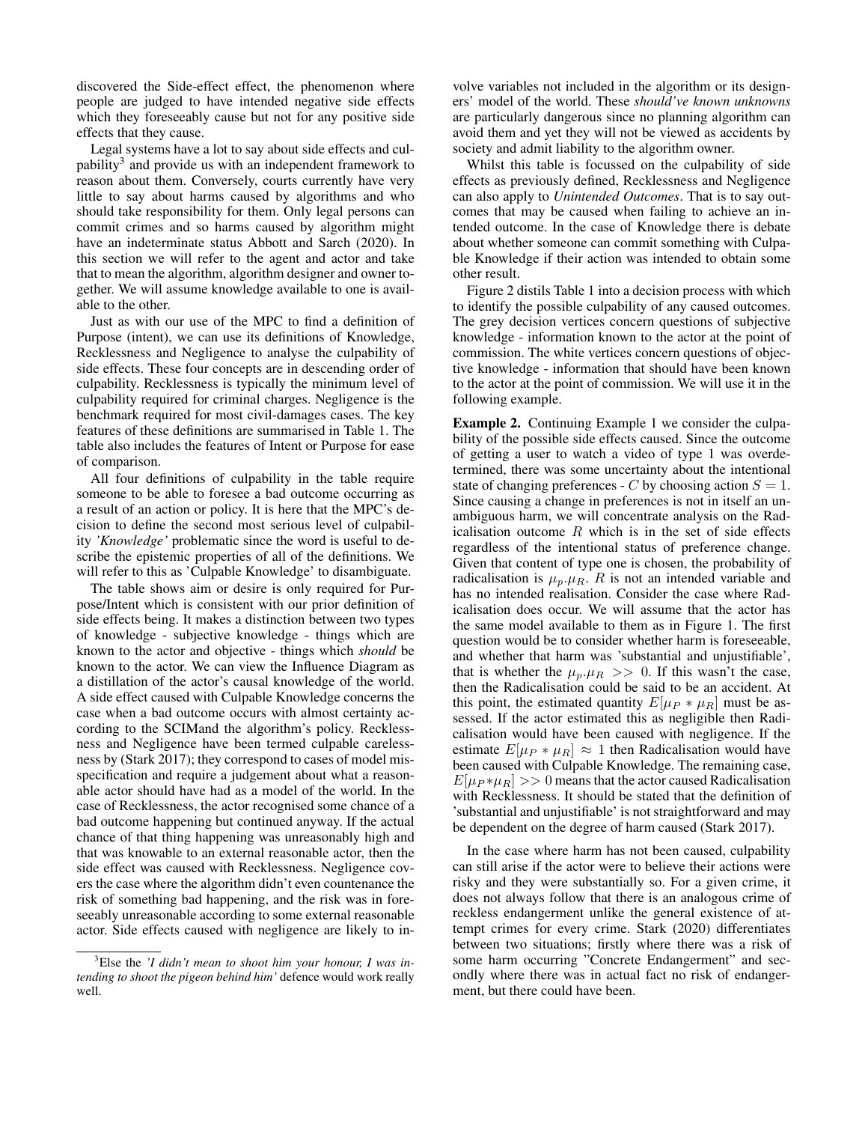discovered the Side-effect effect, the phenomenon where people are judged to have intended negative side effects which they foreseeably cause but not for any positive side effects that they cause.

Legal systems have a lot to say about side effects and culpability<sup>3</sup> and provide us with an independent framework to reason about them. Conversely, courts currently have very little to say about harms caused by algorithms and who should take responsibility for them. Only legal persons can commit crimes and so harms caused by algorithm might have an indeterminate status Abbott and Sarch (2020). In this section we will refer to the agent and actor and take that to mean the algorithm, algorithm designer and owner together. We will assume knowledge available to one is available to the other.

Just as with our use of the MPC to find a definition of Purpose (intent), we can use its definitions of Knowledge, Recklessness and Negligence to analyse the culpability of side effects. These four concepts are in descending order of culpability. Recklessness is typically the minimum level of culpability required for criminal charges. Negligence is the benchmark required for most civil-damages cases. The key features of these definitions are summarised in Table 1. The table also includes the features of Intent or Purpose for ease of comparison.

All four definitions of culpability in the table require someone to be able to foresee a bad outcome occurring as a result of an action or policy. It is here that the MPC's decision to define the second most serious level of culpability *'Knowledge'* problematic since the word is useful to describe the epistemic properties of all of the definitions. We will refer to this as 'Culpable Knowledge' to disambiguate.

The table shows aim or desire is only required for Purpose/Intent which is consistent with our prior definition of side effects being. It makes a distinction between two types of knowledge - subjective knowledge - things which are known to the actor and objective - things which *should* be known to the actor. We can view the Influence Diagram as a distillation of the actor's causal knowledge of the world. A side effect caused with Culpable Knowledge concerns the case when a bad outcome occurs with almost certainty according to the SCIMand the algorithm's policy. Recklessness and Negligence have been termed culpable carelessness by (Stark 2017); they correspond to cases of model misspecification and require a judgement about what a reasonable actor should have had as a model of the world. In the case of Recklessness, the actor recognised some chance of a bad outcome happening but continued anyway. If the actual chance of that thing happening was unreasonably high and that was knowable to an external reasonable actor, then the side effect was caused with Recklessness. Negligence covers the case where the algorithm didn't even countenance the risk of something bad happening, and the risk was in foreseeably unreasonable according to some external reasonable actor. Side effects caused with negligence are likely to in-

<sup>3</sup>Else the *'I didn't mean to shoot him your honour, I was intending to shoot the pigeon behind him'* defence would work really well.

volve variables not included in the algorithm or its designers' model of the world. These *should've known unknowns* are particularly dangerous since no planning algorithm can avoid them and yet they will not be viewed as accidents by society and admit liability to the algorithm owner.

Whilst this table is focussed on the culpability of side effects as previously defined, Recklessness and Negligence can also apply to *Unintended Outcomes*. That is to say outcomes that may be caused when failing to achieve an intended outcome. In the case of Knowledge there is debate about whether someone can commit something with Culpable Knowledge if their action was intended to obtain some other result.

Figure 2 distils Table 1 into a decision process with which to identify the possible culpability of any caused outcomes. The grey decision vertices concern questions of subjective knowledge - information known to the actor at the point of commission. The white vertices concern questions of objective knowledge - information that should have been known to the actor at the point of commission. We will use it in the following example.

Example 2. Continuing Example 1 we consider the culpability of the possible side effects caused. Since the outcome of getting a user to watch a video of type 1 was overdetermined, there was some uncertainty about the intentional state of changing preferences - C by choosing action  $S = 1$ . Since causing a change in preferences is not in itself an unambiguous harm, we will concentrate analysis on the Radicalisation outcome  $R$  which is in the set of side effects regardless of the intentional status of preference change. Given that content of type one is chosen, the probability of radicalisation is  $\mu_p$ .  $\mu_R$ . R is not an intended variable and has no intended realisation. Consider the case where Radicalisation does occur. We will assume that the actor has the same model available to them as in Figure 1. The first question would be to consider whether harm is foreseeable, and whether that harm was 'substantial and unjustifiable', that is whether the  $\mu_p \mu_R >> 0$ . If this wasn't the case, then the Radicalisation could be said to be an accident. At this point, the estimated quantity  $E[\mu_P * \mu_R]$  must be assessed. If the actor estimated this as negligible then Radicalisation would have been caused with negligence. If the estimate  $E[\mu_P * \mu_R] \approx 1$  then Radicalisation would have been caused with Culpable Knowledge. The remaining case,  $E[\mu_P * \mu_R] >> 0$  means that the actor caused Radicalisation with Recklessness. It should be stated that the definition of 'substantial and unjustifiable' is not straightforward and may be dependent on the degree of harm caused (Stark 2017).

In the case where harm has not been caused, culpability can still arise if the actor were to believe their actions were risky and they were substantially so. For a given crime, it does not always follow that there is an analogous crime of reckless endangerment unlike the general existence of attempt crimes for every crime. Stark (2020) differentiates between two situations; firstly where there was a risk of some harm occurring "Concrete Endangerment" and secondly where there was in actual fact no risk of endangerment, but there could have been.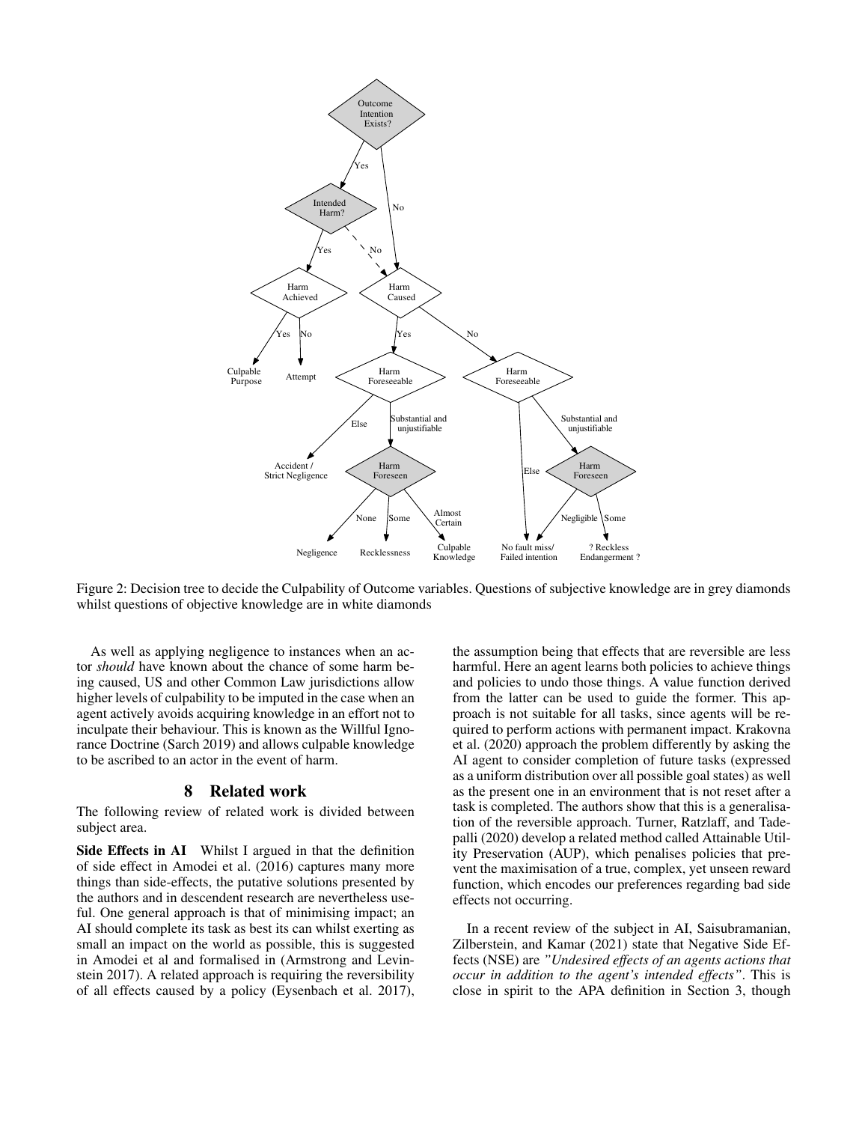

Figure 2: Decision tree to decide the Culpability of Outcome variables. Questions of subjective knowledge are in grey diamonds whilst questions of objective knowledge are in white diamonds

As well as applying negligence to instances when an actor *should* have known about the chance of some harm being caused, US and other Common Law jurisdictions allow higher levels of culpability to be imputed in the case when an agent actively avoids acquiring knowledge in an effort not to inculpate their behaviour. This is known as the Willful Ignorance Doctrine (Sarch 2019) and allows culpable knowledge to be ascribed to an actor in the event of harm.

### 8 Related work

The following review of related work is divided between subject area.

Side Effects in AI Whilst I argued in that the definition of side effect in Amodei et al. (2016) captures many more things than side-effects, the putative solutions presented by the authors and in descendent research are nevertheless useful. One general approach is that of minimising impact; an AI should complete its task as best its can whilst exerting as small an impact on the world as possible, this is suggested in Amodei et al and formalised in (Armstrong and Levinstein 2017). A related approach is requiring the reversibility of all effects caused by a policy (Eysenbach et al. 2017),

the assumption being that effects that are reversible are less harmful. Here an agent learns both policies to achieve things and policies to undo those things. A value function derived from the latter can be used to guide the former. This approach is not suitable for all tasks, since agents will be required to perform actions with permanent impact. Krakovna et al. (2020) approach the problem differently by asking the AI agent to consider completion of future tasks (expressed as a uniform distribution over all possible goal states) as well as the present one in an environment that is not reset after a task is completed. The authors show that this is a generalisation of the reversible approach. Turner, Ratzlaff, and Tadepalli (2020) develop a related method called Attainable Utility Preservation (AUP), which penalises policies that prevent the maximisation of a true, complex, yet unseen reward function, which encodes our preferences regarding bad side effects not occurring.

In a recent review of the subject in AI, Saisubramanian, Zilberstein, and Kamar (2021) state that Negative Side Effects (NSE) are *"Undesired effects of an agents actions that occur in addition to the agent's intended effects"*. This is close in spirit to the APA definition in Section 3, though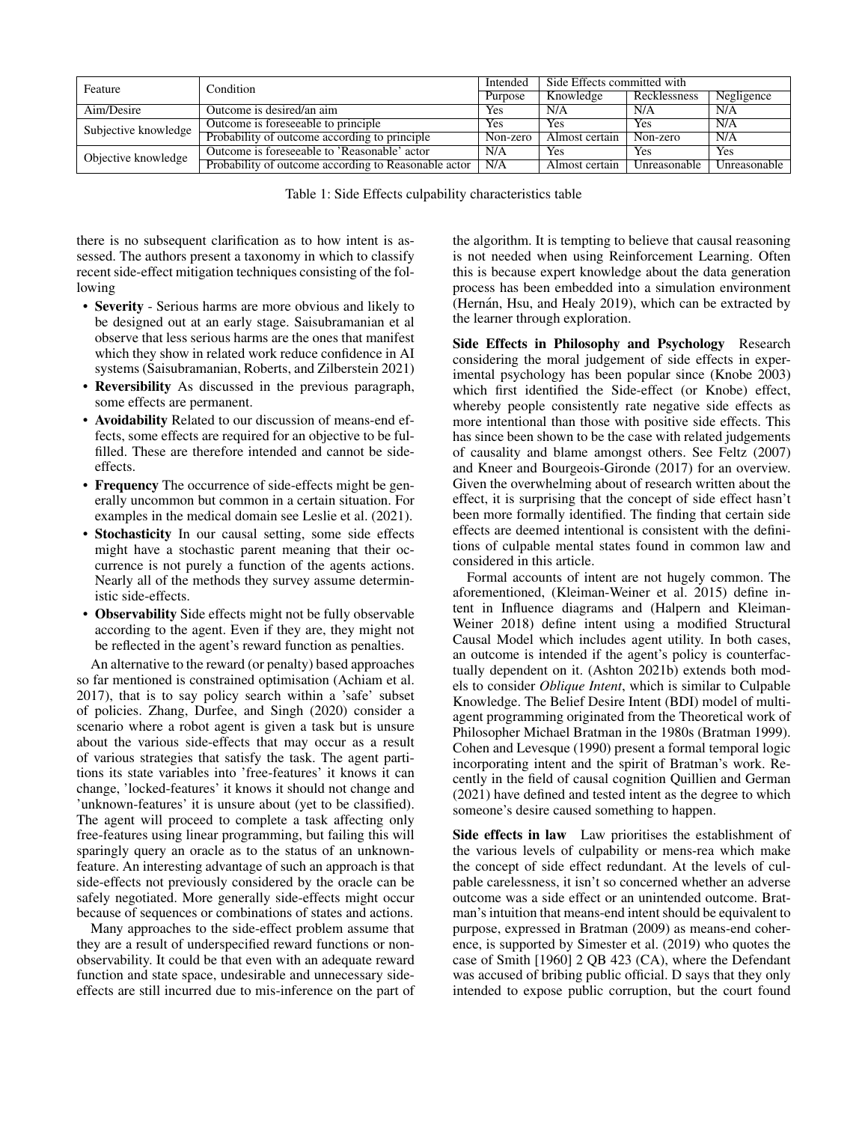| Feature              | Condition                                            | Intended | Side Effects committed with |              |              |
|----------------------|------------------------------------------------------|----------|-----------------------------|--------------|--------------|
|                      |                                                      | Purpose  | Knowledge                   | Recklessness | Negligence   |
| Aim/Desire           | Outcome is desired/an aim                            | Yes      | N/A                         | N/A          | N/A          |
| Subjective knowledge | Outcome is foreseeable to principle                  | Yes      | Yes                         | Yes          | N/A          |
|                      | Probability of outcome according to principle        | Non-zero | Almost certain              | Non-zero     | N/A          |
| Objective knowledge  | Outcome is foreseeable to 'Reasonable' actor         | N/A      | Yes                         | Yes          | Yes          |
|                      | Probability of outcome according to Reasonable actor | N/A      | Almost certain              | Unreasonable | Unreasonable |

Table 1: Side Effects culpability characteristics table

there is no subsequent clarification as to how intent is assessed. The authors present a taxonomy in which to classify recent side-effect mitigation techniques consisting of the following

- Severity Serious harms are more obvious and likely to be designed out at an early stage. Saisubramanian et al observe that less serious harms are the ones that manifest which they show in related work reduce confidence in AI systems (Saisubramanian, Roberts, and Zilberstein 2021)
- Reversibility As discussed in the previous paragraph, some effects are permanent.
- Avoidability Related to our discussion of means-end effects, some effects are required for an objective to be fulfilled. These are therefore intended and cannot be sideeffects.
- Frequency The occurrence of side-effects might be generally uncommon but common in a certain situation. For examples in the medical domain see Leslie et al. (2021).
- Stochasticity In our causal setting, some side effects might have a stochastic parent meaning that their occurrence is not purely a function of the agents actions. Nearly all of the methods they survey assume deterministic side-effects.
- Observability Side effects might not be fully observable according to the agent. Even if they are, they might not be reflected in the agent's reward function as penalties.

An alternative to the reward (or penalty) based approaches so far mentioned is constrained optimisation (Achiam et al. 2017), that is to say policy search within a 'safe' subset of policies. Zhang, Durfee, and Singh (2020) consider a scenario where a robot agent is given a task but is unsure about the various side-effects that may occur as a result of various strategies that satisfy the task. The agent partitions its state variables into 'free-features' it knows it can change, 'locked-features' it knows it should not change and 'unknown-features' it is unsure about (yet to be classified). The agent will proceed to complete a task affecting only free-features using linear programming, but failing this will sparingly query an oracle as to the status of an unknownfeature. An interesting advantage of such an approach is that side-effects not previously considered by the oracle can be safely negotiated. More generally side-effects might occur because of sequences or combinations of states and actions.

Many approaches to the side-effect problem assume that they are a result of underspecified reward functions or nonobservability. It could be that even with an adequate reward function and state space, undesirable and unnecessary sideeffects are still incurred due to mis-inference on the part of the algorithm. It is tempting to believe that causal reasoning is not needed when using Reinforcement Learning. Often this is because expert knowledge about the data generation process has been embedded into a simulation environment (Hernán, Hsu, and Healy 2019), which can be extracted by the learner through exploration.

Side Effects in Philosophy and Psychology Research considering the moral judgement of side effects in experimental psychology has been popular since (Knobe 2003) which first identified the Side-effect (or Knobe) effect, whereby people consistently rate negative side effects as more intentional than those with positive side effects. This has since been shown to be the case with related judgements of causality and blame amongst others. See Feltz (2007) and Kneer and Bourgeois-Gironde (2017) for an overview. Given the overwhelming about of research written about the effect, it is surprising that the concept of side effect hasn't been more formally identified. The finding that certain side effects are deemed intentional is consistent with the definitions of culpable mental states found in common law and considered in this article.

Formal accounts of intent are not hugely common. The aforementioned, (Kleiman-Weiner et al. 2015) define intent in Influence diagrams and (Halpern and Kleiman-Weiner 2018) define intent using a modified Structural Causal Model which includes agent utility. In both cases, an outcome is intended if the agent's policy is counterfactually dependent on it. (Ashton 2021b) extends both models to consider *Oblique Intent*, which is similar to Culpable Knowledge. The Belief Desire Intent (BDI) model of multiagent programming originated from the Theoretical work of Philosopher Michael Bratman in the 1980s (Bratman 1999). Cohen and Levesque (1990) present a formal temporal logic incorporating intent and the spirit of Bratman's work. Recently in the field of causal cognition Quillien and German (2021) have defined and tested intent as the degree to which someone's desire caused something to happen.

Side effects in law Law prioritises the establishment of the various levels of culpability or mens-rea which make the concept of side effect redundant. At the levels of culpable carelessness, it isn't so concerned whether an adverse outcome was a side effect or an unintended outcome. Bratman's intuition that means-end intent should be equivalent to purpose, expressed in Bratman (2009) as means-end coherence, is supported by Simester et al. (2019) who quotes the case of Smith [1960] 2 QB 423 (CA), where the Defendant was accused of bribing public official. D says that they only intended to expose public corruption, but the court found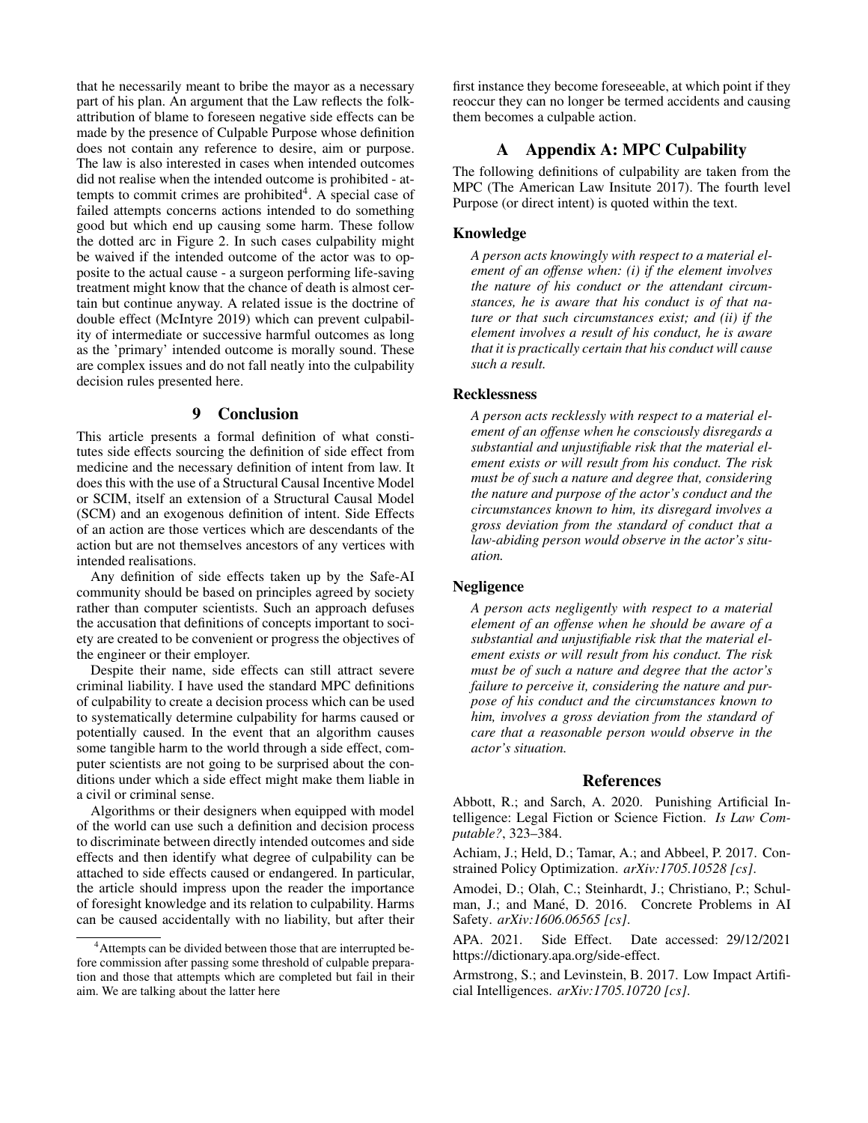that he necessarily meant to bribe the mayor as a necessary part of his plan. An argument that the Law reflects the folkattribution of blame to foreseen negative side effects can be made by the presence of Culpable Purpose whose definition does not contain any reference to desire, aim or purpose. The law is also interested in cases when intended outcomes did not realise when the intended outcome is prohibited - attempts to commit crimes are prohibited<sup>4</sup>. A special case of failed attempts concerns actions intended to do something good but which end up causing some harm. These follow the dotted arc in Figure 2. In such cases culpability might be waived if the intended outcome of the actor was to opposite to the actual cause - a surgeon performing life-saving treatment might know that the chance of death is almost certain but continue anyway. A related issue is the doctrine of double effect (McIntyre 2019) which can prevent culpability of intermediate or successive harmful outcomes as long as the 'primary' intended outcome is morally sound. These are complex issues and do not fall neatly into the culpability decision rules presented here.

### 9 Conclusion

This article presents a formal definition of what constitutes side effects sourcing the definition of side effect from medicine and the necessary definition of intent from law. It does this with the use of a Structural Causal Incentive Model or SCIM, itself an extension of a Structural Causal Model (SCM) and an exogenous definition of intent. Side Effects of an action are those vertices which are descendants of the action but are not themselves ancestors of any vertices with intended realisations.

Any definition of side effects taken up by the Safe-AI community should be based on principles agreed by society rather than computer scientists. Such an approach defuses the accusation that definitions of concepts important to society are created to be convenient or progress the objectives of the engineer or their employer.

Despite their name, side effects can still attract severe criminal liability. I have used the standard MPC definitions of culpability to create a decision process which can be used to systematically determine culpability for harms caused or potentially caused. In the event that an algorithm causes some tangible harm to the world through a side effect, computer scientists are not going to be surprised about the conditions under which a side effect might make them liable in a civil or criminal sense.

Algorithms or their designers when equipped with model of the world can use such a definition and decision process to discriminate between directly intended outcomes and side effects and then identify what degree of culpability can be attached to side effects caused or endangered. In particular, the article should impress upon the reader the importance of foresight knowledge and its relation to culpability. Harms can be caused accidentally with no liability, but after their

first instance they become foreseeable, at which point if they reoccur they can no longer be termed accidents and causing them becomes a culpable action.

## A Appendix A: MPC Culpability

The following definitions of culpability are taken from the MPC (The American Law Insitute 2017). The fourth level Purpose (or direct intent) is quoted within the text.

### Knowledge

*A person acts knowingly with respect to a material element of an offense when: (i) if the element involves the nature of his conduct or the attendant circumstances, he is aware that his conduct is of that nature or that such circumstances exist; and (ii) if the element involves a result of his conduct, he is aware that it is practically certain that his conduct will cause such a result.*

#### Recklessness

*A person acts recklessly with respect to a material element of an offense when he consciously disregards a substantial and unjustifiable risk that the material element exists or will result from his conduct. The risk must be of such a nature and degree that, considering the nature and purpose of the actor's conduct and the circumstances known to him, its disregard involves a gross deviation from the standard of conduct that a law-abiding person would observe in the actor's situation.*

### **Negligence**

*A person acts negligently with respect to a material element of an offense when he should be aware of a substantial and unjustifiable risk that the material element exists or will result from his conduct. The risk must be of such a nature and degree that the actor's failure to perceive it, considering the nature and purpose of his conduct and the circumstances known to him, involves a gross deviation from the standard of care that a reasonable person would observe in the actor's situation.*

#### References

Abbott, R.; and Sarch, A. 2020. Punishing Artificial Intelligence: Legal Fiction or Science Fiction. *Is Law Computable?*, 323–384.

Achiam, J.; Held, D.; Tamar, A.; and Abbeel, P. 2017. Constrained Policy Optimization. *arXiv:1705.10528 [cs]*.

Amodei, D.; Olah, C.; Steinhardt, J.; Christiano, P.; Schulman, J.; and Mané, D. 2016. Concrete Problems in AI Safety. *arXiv:1606.06565 [cs]*.

APA. 2021. Side Effect. Date accessed: 29/12/2021 https://dictionary.apa.org/side-effect.

Armstrong, S.; and Levinstein, B. 2017. Low Impact Artificial Intelligences. *arXiv:1705.10720 [cs]*.

<sup>4</sup>Attempts can be divided between those that are interrupted before commission after passing some threshold of culpable preparation and those that attempts which are completed but fail in their aim. We are talking about the latter here